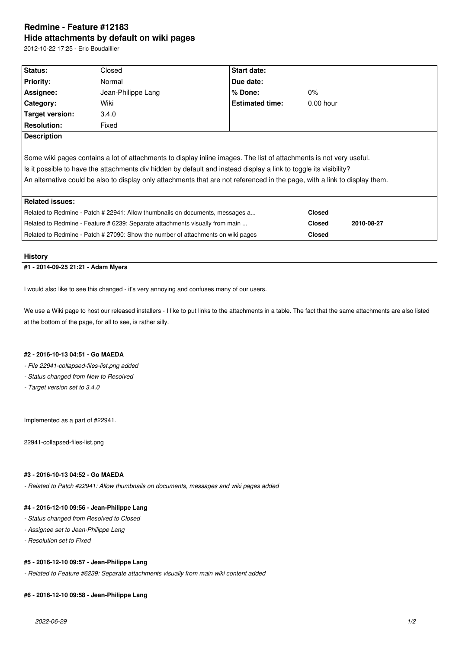# **Redmine - Feature #12183 Hide attachments by default on wiki pages**

2012-10-22 17:25 - Eric Boudaillier

| <b>Status:</b>                                                                                                             | Closed             | Start date:            |  |               |            |
|----------------------------------------------------------------------------------------------------------------------------|--------------------|------------------------|--|---------------|------------|
| <b>Priority:</b>                                                                                                           | Normal             | Due date:              |  |               |            |
| Assignee:                                                                                                                  | Jean-Philippe Lang | $%$ Done:              |  | $0\%$         |            |
| Category:                                                                                                                  | Wiki               | <b>Estimated time:</b> |  | $0.00$ hour   |            |
| <b>Target version:</b>                                                                                                     | 3.4.0              |                        |  |               |            |
| <b>Resolution:</b>                                                                                                         | Fixed              |                        |  |               |            |
| <b>Description</b>                                                                                                         |                    |                        |  |               |            |
|                                                                                                                            |                    |                        |  |               |            |
| Some wiki pages contains a lot of attachments to display inline images. The list of attachments is not very useful.        |                    |                        |  |               |            |
| Is it possible to have the attachments div hidden by default and instead display a link to toggle its visibility?          |                    |                        |  |               |            |
| An alternative could be also to display only attachments that are not referenced in the page, with a link to display them. |                    |                        |  |               |            |
|                                                                                                                            |                    |                        |  |               |            |
| <b>Related issues:</b>                                                                                                     |                    |                        |  |               |            |
| Related to Redmine - Patch # 22941: Allow thumbnails on documents, messages a                                              |                    |                        |  | <b>Closed</b> |            |
| Related to Redmine - Feature # 6239: Separate attachments visually from main                                               |                    |                        |  | <b>Closed</b> | 2010-08-27 |
| Related to Redmine - Patch # 27090: Show the number of attachments on wiki pages                                           |                    |                        |  | <b>Closed</b> |            |
|                                                                                                                            |                    |                        |  |               |            |

# **History**

# **#1 - 2014-09-25 21:21 - Adam Myers**

I would also like to see this changed - it's very annoying and confuses many of our users.

We use a Wiki page to host our released installers - I like to put links to the attachments in a table. The fact that the same attachments are also listed at the bottom of the page, for all to see, is rather silly.

#### **#2 - 2016-10-13 04:51 - Go MAEDA**

*- File 22941-collapsed-files-list.png added*

- *Status changed from New to Resolved*
- *Target version set to 3.4.0*

Implemented as a part of #22941.

22941-collapsed-files-list.png

#### **#3 - 2016-10-13 04:52 - Go MAEDA**

*- Related to Patch #22941: Allow thumbnails on documents, messages and wiki pages added*

# **#4 - 2016-12-10 09:56 - Jean-Philippe Lang**

- *Status changed from Resolved to Closed*
- *Assignee set to Jean-Philippe Lang*
- *Resolution set to Fixed*

#### **#5 - 2016-12-10 09:57 - Jean-Philippe Lang**

*- Related to Feature #6239: Separate attachments visually from main wiki content added*

#### **#6 - 2016-12-10 09:58 - Jean-Philippe Lang**